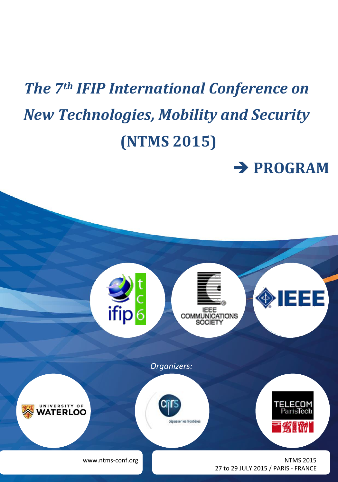# *The 7th IFIP International Conference on New Technologies, Mobility and Security* **(NTMS 2015)**

**PROGRAM**

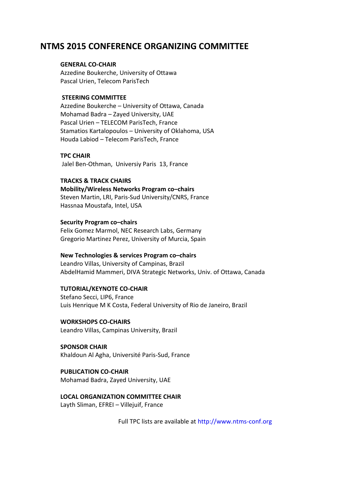# **NTMS 2015 CONFERENCE ORGANIZING COMMITTEE**

# **GENERAL CO-CHAIR**

Azzedine Boukerche, University of Ottawa Pascal Urien, Telecom ParisTech

## **STEERING COMMITTEE**

Azzedine Boukerche – University of Ottawa, Canada Mohamad Badra – Zayed University, UAE Pascal Urien – TELECOM ParisTech, France Stamatios Kartalopoulos – University of Oklahoma, USA Houda Labiod – Telecom ParisTech, France

## **TPC CHAIR**

Jalel Ben-Othman, Universiy Paris 13, France

# **TRACKS & TRACK CHAIRS**

**Mobility/Wireless Networks Program co–chairs** Steven Martin, LRI, Paris-Sud University/CNRS, France Hassnaa Moustafa, Intel, USA

## **Security Program co–chairs**

Felix Gomez Marmol, NEC Research Labs, Germany Gregorio Martinez Perez, University of Murcia, Spain

# **New Technologies & services Program co–chairs**

Leandro Villas, University of Campinas, Brazil AbdelHamid Mammeri, DIVA Strategic Networks, Univ. of Ottawa, Canada

# **TUTORIAL/KEYNOTE CO-CHAIR**

Stefano Secci, LIP6, France Luis Henrique M K Costa, Federal University of Rio de Janeiro, Brazil

**WORKSHOPS CO-CHAIRS** Leandro Villas, Campinas University, Brazil

**SPONSOR CHAIR** Khaldoun Al Agha, Université Paris-Sud, France

# **PUBLICATION CO-CHAIR**

Mohamad Badra, Zayed University, UAE

# **LOCAL ORGANIZATION COMMITTEE CHAIR**

Layth Sliman, EFREI – Villejuif, France

Full TPC lists are available at [http://www.ntms-conf.org](http://www.ntms-conf.org/)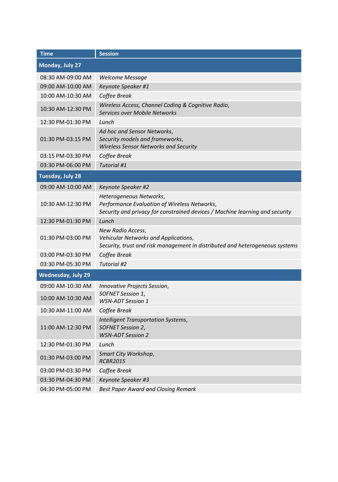| <b>Time</b>               | <b>Session</b>                                                                                                                                          |
|---------------------------|---------------------------------------------------------------------------------------------------------------------------------------------------------|
| Monday, July 27           |                                                                                                                                                         |
| 08:30 AM-09:00 AM         | <b>Welcome Message</b>                                                                                                                                  |
| 09:00 AM-10:00 AM         | Keynote Speaker #1                                                                                                                                      |
| 10:00 AM-10:30 AM         | Coffee Break                                                                                                                                            |
| 10:30 AM-12:30 PM         | Wireless Access, Channel Coding & Cognitive Radio,<br>Services over Mobile Networks                                                                     |
| 12:30 PM-01:30 PM         | Lunch                                                                                                                                                   |
| 01:30 PM-03:15 PM         | Ad hoc and Sensor Networks,<br>Security models and frameworks,<br><b>Wireless Sensor Networks and Security</b>                                          |
| 03:15 PM-03:30 PM         | Coffee Break                                                                                                                                            |
| 03:30 PM-06:00 PM         | <b>Tutorial #1</b>                                                                                                                                      |
| <b>Tuesday, July 28</b>   |                                                                                                                                                         |
| 09:00 AM-10:00 AM         | Keynote Speaker #2                                                                                                                                      |
| 10:30 AM-12:30 PM         | Heterogeneous Networks,<br>Performance Evaluation of Wireless Networks,<br>Security and privacy for constrained devices / Machine learning and security |
| 12:30 PM-01:30 PM         | Lunch                                                                                                                                                   |
| 01:30 PM-03:00 PM         | New Radio Access,<br>Vehicular Networks and Applications,<br>Security, trust and risk management in distributed and heterogeneous systems               |
| 03:00 PM-03:30 PM         | Coffee Break                                                                                                                                            |
| 03:30 PM-05:30 PM         | Tutorial #2                                                                                                                                             |
| <b>Wednesday, July 29</b> |                                                                                                                                                         |
| 09:00 AM-10:30 AM         | Innovative Projects Session,                                                                                                                            |
| 10:00 AM-10:30 AM         | SOFNET Session 1,<br><b>WSN-ADT Session 1</b>                                                                                                           |
| 10:30 AM-11:00 AM         | Coffee Break                                                                                                                                            |
| 11:00 AM-12:30 PM         | Intelligent Transportation Systems,<br>SOFNET Session 2,<br><b>WSN-ADT Session 2</b>                                                                    |
| 12:30 PM-01:30 PM         | Lunch                                                                                                                                                   |
| 01:30 PM-03:00 PM         | Smart City Workshop,<br><b>RCBR2015</b>                                                                                                                 |
| 03:00 PM-03:30 PM         | Coffee Break                                                                                                                                            |
| 03:30 PM-04:30 PM         | Keynote Speaker #3                                                                                                                                      |
| 04:30 PM-05:00 PM         | <b>Best Paper Award and Closing Remark</b>                                                                                                              |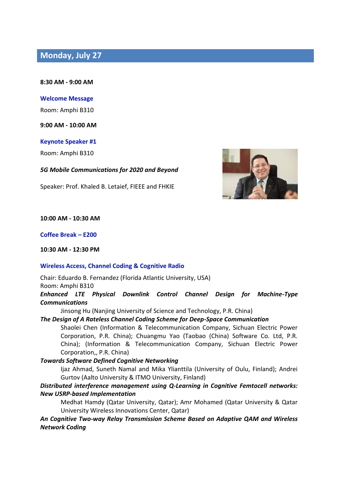# **Monday, July 27**

**8:30 AM - 9:00 AM**

**Welcome Message**

Room: Amphi B310

**9:00 AM - 10:00 AM**

**Keynote Speaker #1**

Room: Amphi B310

*5G Mobile Communications for 2020 and Beyond*

Speaker: Prof. Khaled B. Letaief, FIEEE and FHKIE



**10:00 AM - 10:30 AM**

**Coffee Break – E200**

**10:30 AM - 12:30 PM**

## **Wireless Access, Channel Coding & Cognitive Radio**

Chair: Eduardo B. Fernandez (Florida Atlantic University, USA)

Room: Amphi B310

*Enhanced LTE Physical Downlink Control Channel Design for Machine-Type Communications*

Jinsong Hu (Nanjing University of Science and Technology, P.R. China)

## *The Design of A Rateless Channel Coding Scheme for Deep-Space Communication*

Shaolei Chen (Information & Telecommunication Company, Sichuan Electric Power Corporation, P.R. China); Chuangmu Yao (Taobao (China) Software Co. Ltd, P.R. China); (Information & Telecommunication Company, Sichuan Electric Power Corporation,, P.R. China)

*Towards Software Defined Cognitive Networking*

Ijaz Ahmad, Suneth Namal and Mika Ylianttila (University of Oulu, Finland); Andrei Gurtov (Aalto University & ITMO University, Finland)

# *Distributed interference management using Q-Learning in Cognitive Femtocell networks: New USRP-based Implementation*

Medhat Hamdy (Qatar University, Qatar); Amr Mohamed (Qatar University & Qatar University Wireless Innovations Center, Qatar)

*An Cognitive Two-way Relay Transmission Scheme Based on Adaptive QAM and Wireless Network Coding*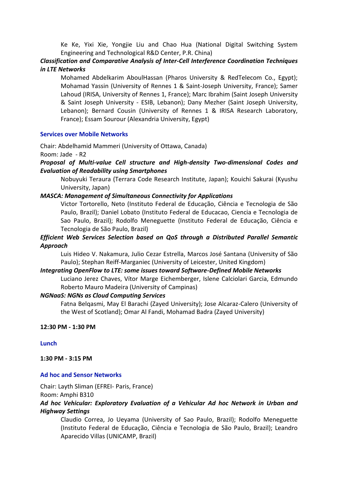Ke Ke, Yixi Xie, Yongjie Liu and Chao Hua (National Digital Switching System Engineering and Technological R&D Center, P.R. China)

# *Classification and Comparative Analysis of Inter-Cell Interference Coordination Techniques in LTE Networks*

Mohamed Abdelkarim AboulHassan (Pharos University & RedTelecom Co., Egypt); Mohamad Yassin (University of Rennes 1 & Saint-Joseph University, France); Samer Lahoud (IRISA, University of Rennes 1, France); Marc Ibrahim (Saint Joseph University & Saint Joseph University - ESIB, Lebanon); Dany Mezher (Saint Joseph University, Lebanon); Bernard Cousin (University of Rennes 1 & IRISA Research Laboratory, France); Essam Sourour (Alexandria University, Egypt)

## **Services over Mobile Networks**

Chair: Abdelhamid Mammeri (University of Ottawa, Canada)

Room: Jade - R2

# *Proposal of Multi-value Cell structure and High-density Two-dimensional Codes and Evaluation of Readability using Smartphones*

Nobuyuki Teraura (Terrara Code Research Institute, Japan); Kouichi Sakurai (Kyushu University, Japan)

# *MASCA: Management of Simultaneous Connectivity for Applications*

Victor Tortorello, Neto (Instituto Federal de Educação, Ciência e Tecnologia de São Paulo, Brazil); Daniel Lobato (Instituto Federal de Educacao, Ciencia e Tecnologia de Sao Paulo, Brazil); Rodolfo Meneguette (Instituto Federal de Educação, Ciência e Tecnologia de São Paulo, Brazil)

# *Efficient Web Services Selection based on QoS through a Distributed Parallel Semantic Approach*

Luis Hideo V. Nakamura, Julio Cezar Estrella, Marcos José Santana (University of São Paulo); Stephan Reiff-Marganiec (University of Leicester, United Kingdom)

## *Integrating OpenFlow to LTE: some issues toward Software-Defined Mobile Networks*

Luciano Jerez Chaves, Vítor Marge Eichemberger, Islene Calciolari Garcia, Edmundo Roberto Mauro Madeira (University of Campinas)

# *NGNaaS: NGNs as Cloud Computing Services*

Fatna Belqasmi, May El Barachi (Zayed University); Jose Alcaraz-Calero (University of the West of Scotland); Omar Al Fandi, Mohamad Badra (Zayed University)

**12:30 PM - 1:30 PM**

**Lunch**

**1:30 PM - 3:15 PM**

# **Ad hoc and Sensor Networks**

Chair: Layth Sliman (EFREI- Paris, France)

Room: Amphi B310

# *Ad hoc Vehicular: Exploratory Evaluation of a Vehicular Ad hoc Network in Urban and Highway Settings*

Claudio Correa, Jo Ueyama (University of Sao Paulo, Brazil); Rodolfo Meneguette (Instituto Federal de Educação, Ciência e Tecnologia de São Paulo, Brazil); Leandro Aparecido Villas (UNICAMP, Brazil)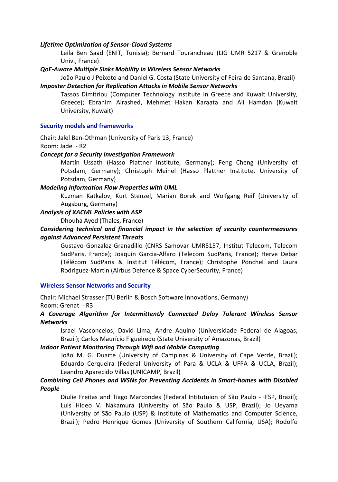# *Lifetime Optimization of Sensor-Cloud Systems*

Leila Ben Saad (ENIT, Tunisia); Bernard Tourancheau (LIG UMR 5217 & Grenoble Univ., France)

## *QoE-Aware Multiple Sinks Mobility in Wireless Sensor Networks*

João Paulo J Peixoto and Daniel G. Costa (State University of Feira de Santana, Brazil) *Imposter Detection for Replication Attacks in Mobile Sensor Networks*

Tassos Dimitriou (Computer Technology Institute in Greece and Kuwait University, Greece); Ebrahim Alrashed, Mehmet Hakan Karaata and Ali Hamdan (Kuwait University, Kuwait)

## **Security models and frameworks**

Chair: Jalel Ben-Othman (University of Paris 13, France) Room: Jade - R2

# *Concept for a Security Investigation Framework*

Martin Ussath (Hasso Plattner Institute, Germany); Feng Cheng (University of Potsdam, Germany); Christoph Meinel (Hasso Plattner Institute, University of Potsdam, Germany)

#### *Modeling Information Flow Properties with UML*

Kuzman Katkalov, Kurt Stenzel, Marian Borek and Wolfgang Reif (University of Augsburg, Germany)

## *Analysis of XACML Policies with ASP*

Dhouha Ayed (Thales, France)

# *Considering technical and financial impact in the selection of security countermeasures against Advanced Persistent Threats*

Gustavo Gonzalez Granadillo (CNRS Samovar UMR5157, Institut Telecom, Telecom SudParis, France); Joaquin Garcia-Alfaro (Telecom SudParis, France); Herve Debar (Télécom SudParis & Institut Télécom, France); Christophe Ponchel and Laura Rodriguez-Martin (Airbus Defence & Space CyberSecurity, France)

#### **Wireless Sensor Networks and Security**

Chair: Michael Strasser (TU Berlin & Bosch Software Innovations, Germany) Room: Grenat - R3

# *A Coverage Algorithm for Intermittently Connected Delay Tolerant Wireless Sensor Networks*

Israel Vasconcelos; David Lima; Andre Aquino (Universidade Federal de Alagoas, Brazil); Carlos Maurício Figueiredo (State University of Amazonas, Brazil)

#### *Indoor Patient Monitoring Through Wifi and Mobile Computing*

João M. G. Duarte (University of Campinas & University of Cape Verde, Brazil); Eduardo Cerqueira (Federal University of Para & UCLA & UFPA & UCLA, Brazil); Leandro Aparecido Villas (UNICAMP, Brazil)

# *Combining Cell Phones and WSNs for Preventing Accidents in Smart-homes with Disabled People*

Diulie Freitas and Tiago Marcondes (Federal Intitutuion of São Paulo - IFSP, Brazil); Luis Hideo V. Nakamura (University of São Paulo & USP, Brazil); Jo Ueyama (University of São Paulo (USP) & Institute of Mathematics and Computer Science, Brazil); Pedro Henrique Gomes (University of Southern California, USA); Rodolfo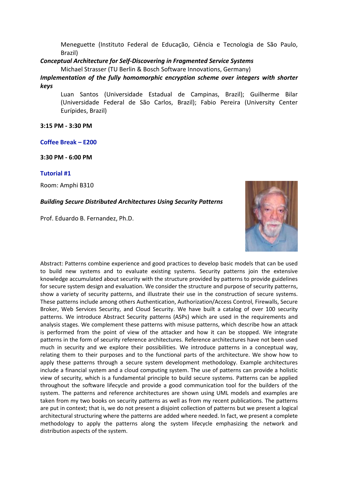Meneguette (Instituto Federal de Educação, Ciência e Tecnologia de São Paulo, Brazil)

*Conceptual Architecture for Self-Discovering in Fragmented Service Systems*

Michael Strasser (TU Berlin & Bosch Software Innovations, Germany)

*Implementation of the fully homomorphic encryption scheme over integers with shorter keys*

Luan Santos (Universidade Estadual de Campinas, Brazil); Guilherme Bilar (Universidade Federal de São Carlos, Brazil); Fabio Pereira (University Center Eurípides, Brazil)

**3:15 PM - 3:30 PM**

# **Coffee Break – E200**

**3:30 PM - 6:00 PM**

## **Tutorial #1**

Room: Amphi B310

# *Building Secure Distributed Architectures Using Security Patterns*

Prof. Eduardo B. Fernandez, Ph.D.



Abstract: Patterns combine experience and good practices to develop basic models that can be used to build new systems and to evaluate existing systems. Security patterns join the extensive knowledge accumulated about security with the structure provided by patterns to provide guidelines for secure system design and evaluation. We consider the structure and purpose of security patterns, show a variety of security patterns, and illustrate their use in the construction of secure systems. These patterns include among others Authentication, Authorization/Access Control, Firewalls, Secure Broker, Web Services Security, and Cloud Security. We have built a catalog of over 100 security patterns. We introduce Abstract Security patterns (ASPs) which are used in the requirements and analysis stages. We complement these patterns with misuse patterns, which describe how an attack is performed from the point of view of the attacker and how it can be stopped. We integrate patterns in the form of security reference architectures. Reference architectures have not been used much in security and we explore their possibilities. We introduce patterns in a conceptual way, relating them to their purposes and to the functional parts of the architecture. We show how to apply these patterns through a secure system development methodology. Example architectures include a financial system and a cloud computing system. The use of patterns can provide a holistic view of security, which is a fundamental principle to build secure systems. Patterns can be applied throughout the software lifecycle and provide a good communication tool for the builders of the system. The patterns and reference architectures are shown using UML models and examples are taken from my two books on security patterns as well as from my recent publications. The patterns are put in context; that is, we do not present a disjoint collection of patterns but we present a logical architectural structuring where the patterns are added where needed. In fact, we present a complete methodology to apply the patterns along the system lifecycle emphasizing the network and distribution aspects of the system.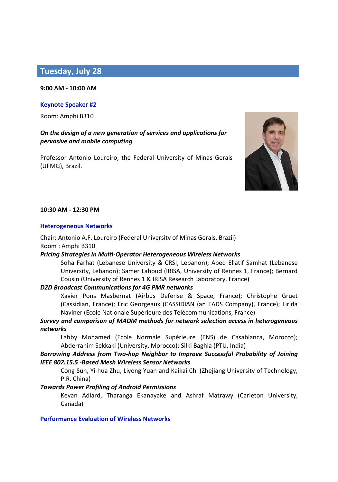# **Tuesday, July 28**

#### **9:00 AM - 10:00 AM**

## **Keynote Speaker #2**

Room: Amphi B310

# *On the design of a new generation of services and applications for pervasive and mobile computing*

Professor Antonio Loureiro, the Federal University of Minas Gerais (UFMG), Brazil.



## **10:30 AM - 12:30 PM**

#### **Heterogeneous Networks**

Chair: Antonio A.F. Loureiro (Federal University of Minas Gerais, Brazil) Room : Amphi B310

## *Pricing Strategies in Multi-Operator Heterogeneous Wireless Networks*

Soha Farhat (Lebanese University & CRSI, Lebanon); Abed Ellatif Samhat (Lebanese University, Lebanon); Samer Lahoud (IRISA, University of Rennes 1, France); Bernard Cousin (University of Rennes 1 & IRISA Research Laboratory, France)

## *D2D Broadcast Communications for 4G PMR networks*

Xavier Pons Masbernat (Airbus Defense & Space, France); Christophe Gruet (Cassidian, France); Eric Georgeaux (CASSIDIAN (an EADS Company), France); Lirida Naviner (Ecole Nationale Supérieure des Télécommunications, France)

# *Survey and comparison of MADM methods for network selection access in heterogeneous networks*

Lahby Mohamed (Ecole Normale Supérieure (ENS) de Casablanca, Morocco); Abderrahim Sekkaki (University, Morocco); Silki Baghla (PTU, India)

# *Borrowing Address from Two-hop Neighbor to Improve Successful Probability of Joining IEEE 802.15.5 -Based Mesh Wireless Sensor Networks*

Cong Sun, Yi-hua Zhu, Liyong Yuan and Kaikai Chi (Zhejiang University of Technology, P.R. China)

# *Towards Power Profiling of Android Permissions*

Kevan Adlard, Tharanga Ekanayake and Ashraf Matrawy (Carleton University, Canada)

## **Performance Evaluation of Wireless Networks**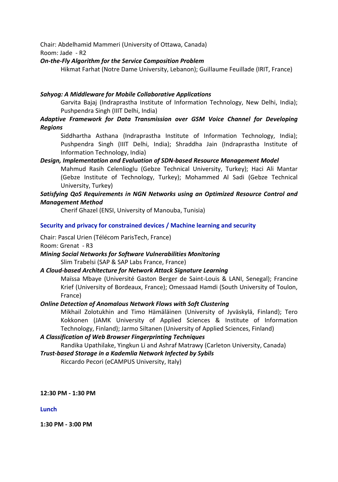Chair: Abdelhamid Mammeri (University of Ottawa, Canada) Room: Jade - R2

# *On-the-Fly Algorithm for the Service Composition Problem*

Hikmat Farhat (Notre Dame University, Lebanon); Guillaume Feuillade (IRIT, France)

# *Sahyog: A Middleware for Mobile Collaborative Applications*

Garvita Bajaj (Indraprastha Institute of Information Technology, New Delhi, India); Pushpendra Singh (IIIT Delhi, India)

# *Adaptive Framework for Data Transmission over GSM Voice Channel for Developing Regions*

Siddhartha Asthana (Indraprastha Institute of Information Technology, India); Pushpendra Singh (IIIT Delhi, India); Shraddha Jain (Indraprastha Institute of Information Technology, India)

# *Design, Implementation and Evaluation of SDN-based Resource Management Model*

Mahmud Rasih Celenlioglu (Gebze Technical University, Turkey); Haci Ali Mantar (Gebze Institute of Technology, Turkey); Mohammed Al Sadi (Gebze Technical University, Turkey)

# *Satisfying QoS Requirements in NGN Networks using an Optimized Resource Control and Management Method*

Cherif Ghazel (ENSI, University of Manouba, Tunisia)

# **Security and privacy for constrained devices / Machine learning and security**

Chair: Pascal Urien (Télécom ParisTech, France) Room: Grenat - R3

*Mining Social Networks for Software Vulnerabilities Monitoring* Slim Trabelsi (SAP & SAP Labs France, France)

# *A Cloud-based Architecture for Network Attack Signature Learning*

Maïssa Mbaye (Université Gaston Berger de Saint-Louis & LANI, Senegal); Francine Krief (University of Bordeaux, France); Omessaad Hamdi (South University of Toulon, France)

# *Online Detection of Anomalous Network Flows with Soft Clustering*

Mikhail Zolotukhin and Timo Hämäläinen (University of Jyväskylä, Finland); Tero Kokkonen (JAMK University of Applied Sciences & Institute of Information Technology, Finland); Jarmo Siltanen (University of Applied Sciences, Finland)

# *A Classification of Web Browser Fingerprinting Techniques*

Randika Upathilake, Yingkun Li and Ashraf Matrawy (Carleton University, Canada)

# *Trust-based Storage in a Kademlia Network Infected by Sybils* Riccardo Pecori (eCAMPUS University, Italy)

**12:30 PM - 1:30 PM**

# **Lunch**

**1:30 PM - 3:00 PM**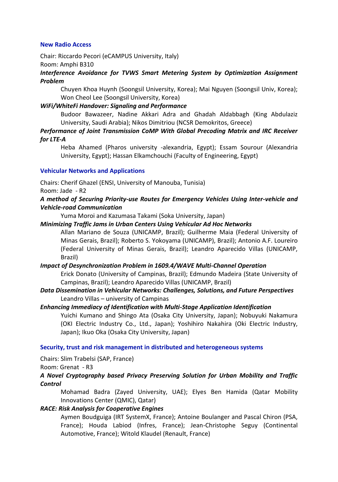# **New Radio Access**

Chair: Riccardo Pecori (eCAMPUS University, Italy)

# Room: Amphi B310

*Interference Avoidance for TVWS Smart Metering System by Optimization Assignment Problem*

Chuyen Khoa Huynh (Soongsil University, Korea); Mai Nguyen (Soongsil Univ, Korea); Won Cheol Lee (Soongsil University, Korea)

## *WiFi/WhiteFi Handover: Signaling and Performance*

Budoor Bawazeer, Nadine Akkari Adra and Ghadah Aldabbagh (King Abdulaziz University, Saudi Arabia); Nikos Dimitriou (NCSR Demokritos, Greece)

# *Performance of Joint Transmission CoMP With Global Precoding Matrix and IRC Receiver for LTE-A*

Heba Ahamed (Pharos university -alexandria, Egypt); Essam Sourour (Alexandria University, Egypt); Hassan Elkamchouchi (Faculty of Engineering, Egypt)

## **Vehicular Networks and Applications**

Chairs: Cherif Ghazel (ENSI, University of Manouba, Tunisia)

Room: Jade - R2

# *A method of Securing Priority-use Routes for Emergency Vehicles Using Inter-vehicle and Vehicle-road Communication*

Yuma Moroi and Kazumasa Takami (Soka University, Japan)

## *Minimizing Traffic Jams in Urban Centers Using Vehicular Ad Hoc Networks*

Allan Mariano de Souza (UNICAMP, Brazil); Guilherme Maia (Federal University of Minas Gerais, Brazil); Roberto S. Yokoyama (UNICAMP), Brazil); Antonio A.F. Loureiro (Federal University of Minas Gerais, Brazil); Leandro Aparecido Villas (UNICAMP, Brazil)

## *Impact of Desynchronization Problem in 1609.4/WAVE Multi-Channel Operation*

Erick Donato (University of Campinas, Brazil); Edmundo Madeira (State University of Campinas, Brazil); Leandro Aparecido Villas (UNICAMP, Brazil)

# *Data Dissemination in Vehicular Networks: Challenges, Solutions, and Future Perspectives*  Leandro Villas – university of Campinas

## *Enhancing Immediacy of Identification with Multi-Stage Application Identification*

Yuichi Kumano and Shingo Ata (Osaka City University, Japan); Nobuyuki Nakamura (OKI Electric Industry Co., Ltd., Japan); Yoshihiro Nakahira (Oki Electric Industry, Japan); Ikuo Oka (Osaka City University, Japan)

## **Security, trust and risk management in distributed and heterogeneous systems**

Chairs: Slim Trabelsi (SAP, France)

Room: Grenat - R3

# *A Novel Cryptography based Privacy Preserving Solution for Urban Mobility and Traffic Control*

Mohamad Badra (Zayed University, UAE); Elyes Ben Hamida (Qatar Mobility Innovations Center (QMIC), Qatar)

## *RACE: Risk Analysis for Cooperative Engines*

Aymen Boudguiga (IRT SystemX, France); Antoine Boulanger and Pascal Chiron (PSA, France); Houda Labiod (Infres, France); Jean-Christophe Seguy (Continental Automotive, France); Witold Klaudel (Renault, France)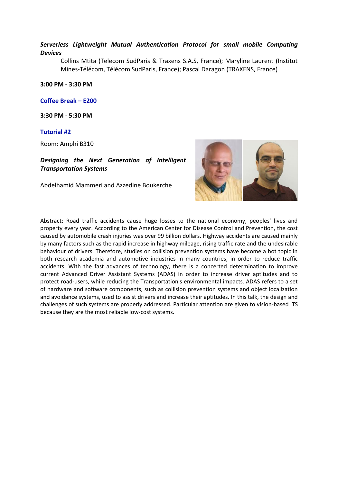# *Serverless Lightweight Mutual Authentication Protocol for small mobile Computing Devices*

Collins Mtita (Telecom SudParis & Traxens S.A.S, France); Maryline Laurent (Institut Mines-Télécom, Télécom SudParis, France); Pascal Daragon (TRAXENS, France)

**3:00 PM - 3:30 PM**

**Coffee Break – E200**

**3:30 PM - 5:30 PM**

## **Tutorial #2**

Room: Amphi B310

*Designing the Next Generation of Intelligent Transportation Systems*

Abdelhamid Mammeri and Azzedine Boukerche



Abstract: Road traffic accidents cause huge losses to the national economy, peoples' lives and property every year. According to the American Center for Disease Control and Prevention, the cost caused by automobile crash injuries was over 99 billion dollars. Highway accidents are caused mainly by many factors such as the rapid increase in highway mileage, rising traffic rate and the undesirable behaviour of drivers. Therefore, studies on collision prevention systems have become a hot topic in both research academia and automotive industries in many countries, in order to reduce traffic accidents. With the fast advances of technology, there is a concerted determination to improve current Advanced Driver Assistant Systems (ADAS) in order to increase driver aptitudes and to protect road-users, while reducing the Transportation's environmental impacts. ADAS refers to a set of hardware and software components, such as collision prevention systems and object localization and avoidance systems, used to assist drivers and increase their aptitudes. In this talk, the design and challenges of such systems are properly addressed. Particular attention are given to vision-based ITS because they are the most reliable low-cost systems.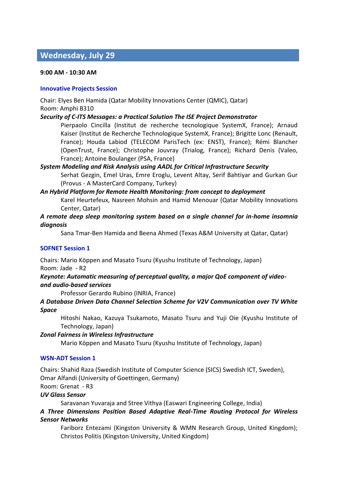# **Wednesday, July 29**

## **9:00 AM - 10:30 AM**

## **Innovative Projects Session**

Chair: Elyes Ben Hamida (Qatar Mobility Innovations Center (QMIC), Qatar) Room: Amphi B310

# *Security of C-ITS Messages: a Practical Solution The ISE Project Demonstrator*

Pierpaolo Cincilla (Institut de recherche tecnologique SystemX, France); Arnaud Kaiser (Institut de Recherche Technologique SystemX, France); Brigitte Lonc (Renault, France); Houda Labiod (TELECOM ParisTech (ex: ENST), France); Rémi Blancher (OpenTrust, France); Christophe Jouvray (Trialog, France); Richard Denis (Valeo, France); Antoine Boulanger (PSA, France)

# *System Modeling and Risk Analysis using AADL for Critical Infrastructure Security* Serhat Gezgin, Emel Uras, Emre Eroglu, Levent Altay, Serif Bahtiyar and Gurkan Gur

(Provus - A MasterCard Company, Turkey) *An Hybrid Platform for Remote Health Monitoring: from concept to deployment*

Karel Heurtefeux, Nasreen Mohsin and Hamid Menouar (Qatar Mobility Innovations Center, Qatar)

# *A remote deep sleep monitoring system based on a single channel for in-home insomnia diagnosis*

Sana Tmar-Ben Hamida and Beena Ahmed (Texas A&M University at Qatar, Qatar)

# **SOFNET Session 1**

Chairs: Mario Köppen and Masato Tsuru (Kyushu Institute of Technology, Japan) Room: Jade - R2

# *Keynote: Automatic measuring of perceptual quality, a major QoE component of videoand audio-based services*

Professor Gerardo Rubino (INRIA, France)

# *A Database Driven Data Channel Selection Scheme for V2V Communication over TV White Space*

Hitoshi Nakao, Kazuya Tsukamoto, Masato Tsuru and Yuji Oie (Kyushu Institute of Technology, Japan)

# *Zonal Fairness in Wireless Infrastructure*

Mario Köppen and Masato Tsuru (Kyushu Institute of Technology, Japan)

# **WSN-ADT Session 1**

Chairs: Shahid Raza (Swedish Institute of Computer Science (SICS) Swedish ICT, Sweden), Omar Alfandi (University of Goettingen, Germany)

Room: Grenat - R3

# *UV Glass Sensor*

Saravanan Yuvaraja and Stree Vithya (Easwari Engineering College, India)

# *A Three Dimensions Position Based Adaptive Real-Time Routing Protocol for Wireless Sensor Networks*

Fariborz Entezami (Kingston University & WMN Research Group, United Kingdom); Christos Politis (Kingston University, United Kingdom)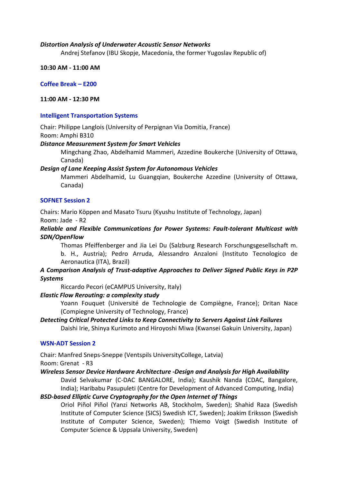# *Distortion Analysis of Underwater Acoustic Sensor Networks*

Andrej Stefanov (IBU Skopje, Macedonia, the former Yugoslav Republic of)

**10:30 AM - 11:00 AM**

**Coffee Break – E200**

**11:00 AM - 12:30 PM**

## **Intelligent Transportation Systems**

Chair: Philippe Langlois (University of Perpignan Via Domitia, France) Room: Amphi B310

## *Distance Measurement System for Smart Vehicles*

Mingchang Zhao, Abdelhamid Mammeri, Azzedine Boukerche (University of Ottawa, Canada)

## *Design of Lane Keeping Assist System for Autonomous Vehicles*

Mammeri Abdelhamid, Lu Guangqian, Boukerche Azzedine (University of Ottawa, Canada)

# **SOFNET Session 2**

Chairs: Mario Köppen and Masato Tsuru (Kyushu Institute of Technology, Japan) Room: Jade - R2

# *Reliable and Flexible Communications for Power Systems: Fault-tolerant Multicast with SDN/OpenFlow*

Thomas Pfeiffenberger and Jia Lei Du (Salzburg Research Forschungsgesellschaft m. b. H., Austria); Pedro Arruda, Alessandro Anzaloni (Instituto Tecnologico de Aeronautica (ITA), Brazil)

# *A Comparison Analysis of Trust-adaptive Approaches to Deliver Signed Public Keys in P2P Systems*

Riccardo Pecori (eCAMPUS University, Italy)

# *Elastic Flow Rerouting: a complexity study*

Yoann Fouquet (Université de Technologie de Compiègne, France); Dritan Nace (Compiegne University of Technology, France)

# *Detecting Critical Protected Links to Keep Connectivity to Servers Against Link Failures* Daishi Irie, Shinya Kurimoto and Hiroyoshi Miwa (Kwansei Gakuin University, Japan)

# **WSN-ADT Session 2**

Chair: Manfred Sneps-Sneppe (Ventspils UniversityCollege, Latvia)

Room: Grenat - R3

# *Wireless Sensor Device Hardware Architecture -Design and Analysis for High Availability*

David Selvakumar (C-DAC BANGALORE, India); Kaushik Nanda (CDAC, Bangalore, India); Haribabu Pasupuleti (Centre for Development of Advanced Computing, India)

# *BSD-based Elliptic Curve Cryptography for the Open Internet of Things*

Oriol Piñol Piñol (Yanzi Networks AB, Stockholm, Sweden); Shahid Raza (Swedish Institute of Computer Science (SICS) Swedish ICT, Sweden); Joakim Eriksson (Swedish Institute of Computer Science, Sweden); Thiemo Voigt (Swedish Institute of Computer Science & Uppsala University, Sweden)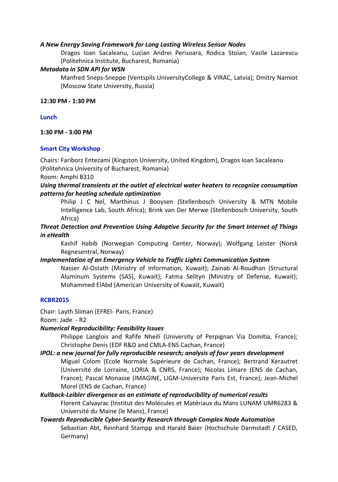# *A New Energy Saving Framework for Long Lasting Wireless Sensor Nodes*

Dragos Ioan Sacaleanu, Lucian Andrei Perisoara, Rodica Stoian, Vasile Lazarescu (Politehnica Institute, Bucharest, Romania)

## *Metadata in SDN API for WSN*

Manfred Sneps-Sneppe (Ventspils UniversityCollege & VIRAC, Latvia); Dmitry Namiot (Moscow State University, Russia)

## **12:30 PM - 1:30 PM**

## **Lunch**

**1:30 PM - 3:00 PM**

## **Smart City Workshop**

Chairs: Fariborz Entezami (Kingston University, United Kingdom), Dragos Ioan Sacaleanu (Politehnica University of Bucharest, Romania)

Room: Amphi B310

# *Using thermal transients at the outlet of electrical water heaters to recognize consumption patterns for heating schedule optimization*

Philip J C Nel, Marthinus J Booysen (Stellenbosch University & MTN Mobile Intelligence Lab, South Africa); Brink van Der Merwe (Stellenbosch University, South Africa)

*Threat Detection and Prevention Using Adaptive Security for the Smart Internet of Things in eHealth*

Kashif Habib (Norwegian Computing Center, Norway); Wolfgang Leister (Norsk Regnesentral, Norway)

# *Implementation of an Emergency Vehicle to Traffic Lights Communication System*

Nasser Al-Ostath (Ministry of Information, Kuwait); Zainab Al-Roudhan (Structural Aluminum Systems (SAS), Kuwait); Fatma Selityn (Ministry of Defense, Kuwait); Mohammed ElAbd (American University of Kuwait, Kuwait)

# **RCBR2015**

Chair: Layth Sliman (EFREI- Paris, France)

Room: Jade - R2

# *Numerical Reproducibility: Feasibility Issues*

Philippe Langlois and Rafife Nheili (University of Perpignan Via Domitia, France); Christophe Denis (EDF R&D and CMLA-ENS Cachan, France)

# *IPOL: a new journal for fully reproducible research; analysis of four years development*

Miguel Colom (Ecole Normale Supérieure de Cachan, France); Bertrand Kerautret (Université de Lorraine, LORIA & CNRS, France); Nicolas Limare (ENS de Cachan, France); Pascal Monasse (IMAGINE, LIGM-Universite Paris Est, France); Jean-Michel Morel (ENS de Cachan, France)

# *Kullback-Leibler divergence as an estimate of reproducibility of numerical results*

Florent Calvayrac (Institut des Molécules et Matériaux du Mans LUNAM UMR6283 & Université du Maine (le Mans), France)

# *Towards Reproducible Cyber-Security Research through Complex Node Automation* Sebastian Abt, Reinhard Stampp and Harald Baier (Hochschule Darmstadt / CASED, Germany)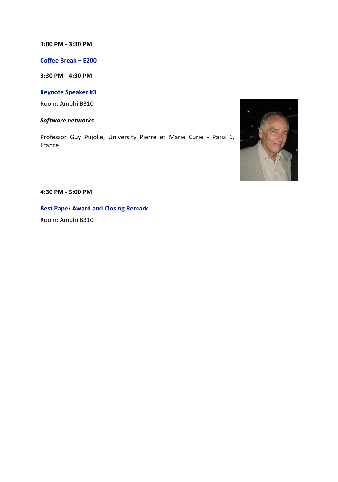## **3:00 PM - 3:30 PM**

**Coffee Break – E200**

**3:30 PM - 4:30 PM**

**Keynote Speaker #3**

Room: Amphi B310

*Software networks*

Professor Guy Pujolle, University Pierre et Marie Curie - Paris 6, France



**4:30 PM - 5:00 PM**

**Best Paper Award and Closing Remark**

Room: Amphi B310